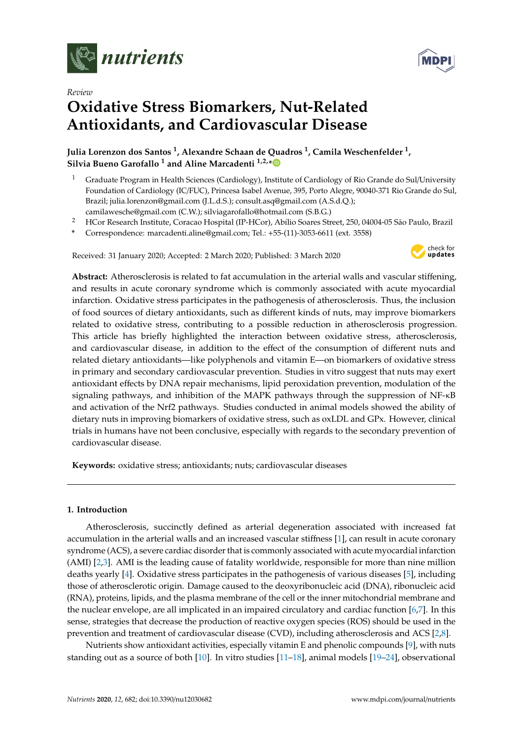

*Review*



# **Oxidative Stress Biomarkers, Nut-Related Antioxidants, and Cardiovascular Disease**

**Julia Lorenzon dos Santos <sup>1</sup> , Alexandre Schaan de Quadros <sup>1</sup> , Camila Weschenfelder <sup>1</sup> , Silvia Bueno Garofallo <sup>1</sup> and Aline Marcadenti 1,2,[\\*](https://orcid.org/0000-0003-1994-4610)**

- <sup>1</sup> Graduate Program in Health Sciences (Cardiology), Institute of Cardiology of Rio Grande do Sul/University Foundation of Cardiology (IC/FUC), Princesa Isabel Avenue, 395, Porto Alegre, 90040-371 Rio Grande do Sul, Brazil; julia.lorenzon@gmail.com (J.L.d.S.); consult.asq@gmail.com (A.S.d.Q.); camilawesche@gmail.com (C.W.); silviagarofallo@hotmail.com (S.B.G.)
- <sup>2</sup> HCor Research Institute, Coracao Hospital (IP-HCor), Abílio Soares Street, 250, 04004-05 São Paulo, Brazil
- **\*** Correspondence: marcadenti.aline@gmail.com; Tel.: +55-(11)-3053-6611 (ext. 3558)

Received: 31 January 2020; Accepted: 2 March 2020; Published: 3 March 2020



**Abstract:** Atherosclerosis is related to fat accumulation in the arterial walls and vascular stiffening, and results in acute coronary syndrome which is commonly associated with acute myocardial infarction. Oxidative stress participates in the pathogenesis of atherosclerosis. Thus, the inclusion of food sources of dietary antioxidants, such as different kinds of nuts, may improve biomarkers related to oxidative stress, contributing to a possible reduction in atherosclerosis progression. This article has briefly highlighted the interaction between oxidative stress, atherosclerosis, and cardiovascular disease, in addition to the effect of the consumption of different nuts and related dietary antioxidants—like polyphenols and vitamin E—on biomarkers of oxidative stress in primary and secondary cardiovascular prevention. Studies in vitro suggest that nuts may exert antioxidant effects by DNA repair mechanisms, lipid peroxidation prevention, modulation of the signaling pathways, and inhibition of the MAPK pathways through the suppression of NF-κB and activation of the Nrf2 pathways. Studies conducted in animal models showed the ability of dietary nuts in improving biomarkers of oxidative stress, such as oxLDL and GPx. However, clinical trials in humans have not been conclusive, especially with regards to the secondary prevention of cardiovascular disease.

**Keywords:** oxidative stress; antioxidants; nuts; cardiovascular diseases

#### **1. Introduction**

Atherosclerosis, succinctly defined as arterial degeneration associated with increased fat accumulation in the arterial walls and an increased vascular stiffness [\[1\]](#page-10-0), can result in acute coronary syndrome (ACS), a severe cardiac disorder that is commonly associated with acute myocardial infarction (AMI) [\[2](#page-10-1)[,3\]](#page-10-2). AMI is the leading cause of fatality worldwide, responsible for more than nine million deaths yearly [\[4\]](#page-10-3). Oxidative stress participates in the pathogenesis of various diseases [\[5\]](#page-10-4), including those of atherosclerotic origin. Damage caused to the deoxyribonucleic acid (DNA), ribonucleic acid (RNA), proteins, lipids, and the plasma membrane of the cell or the inner mitochondrial membrane and the nuclear envelope, are all implicated in an impaired circulatory and cardiac function [\[6](#page-10-5)[,7\]](#page-10-6). In this sense, strategies that decrease the production of reactive oxygen species (ROS) should be used in the prevention and treatment of cardiovascular disease (CVD), including atherosclerosis and ACS [\[2,](#page-10-1)[8\]](#page-10-7).

Nutrients show antioxidant activities, especially vitamin E and phenolic compounds [\[9\]](#page-10-8), with nuts standing out as a source of both [\[10\]](#page-10-9). In vitro studies [\[11](#page-10-10)[–18\]](#page-11-0), animal models [\[19](#page-11-1)[–24\]](#page-11-2), observational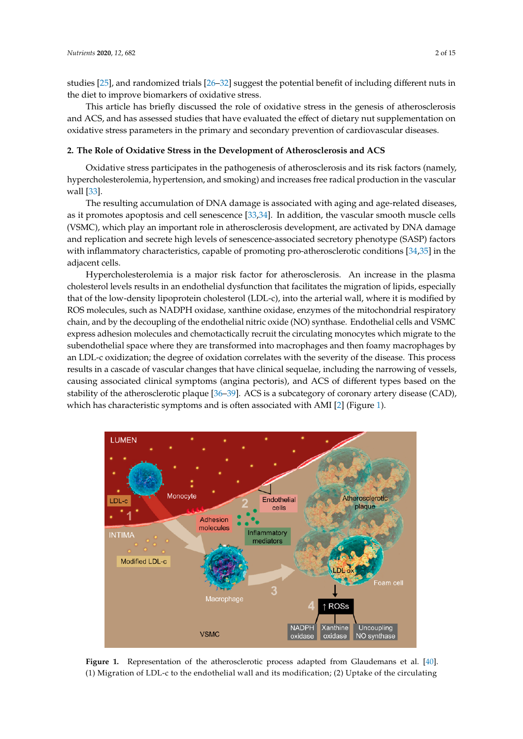studies [\[25\]](#page-11-3), and randomized trials [\[26](#page-11-4)[–32\]](#page-11-5) suggest the potential benefit of including different nuts in the diet to improve biomarkers of oxidative stress.

This article has briefly discussed the role of oxidative stress in the genesis of atherosclerosis and ACS, and has assessed studies that have evaluated the effect of dietary nut supplementation on oxidative stress parameters in the primary and secondary prevention of cardiovascular diseases.  $\sigma$  are parameters in the primary and secondary prevention or direct at assembly.

#### 2. The Role of Oxidative Stress in the Development of Atherosclerosis and ACS oxidative stress parameters in the primary and secondary prevention of cardiovascular diseases.

Oxidative stress participates in the pathogenesis of atherosclerosis and its risk factors (namely, hypercholesterolemia, hypertension, and smoking) and increases free radical production in the vascular wall [\[33\]](#page-11-6). Oxidative stress participates in the pathogenesis of atherosclerosis and its risk factors (namely,

The resulting accumulation of DNA damage is associated with aging and age-related diseases, as it promotes apoptosis and cell senescence [\[33](#page-11-6)[,34\]](#page-12-0). In addition, the vascular smooth muscle cells (VSMC), which play an important role in atherosclerosis development, are activated by DNA damage and replication and secrete high levels of senescence-associated secretory phenotype (SASP) factors with inflammatory characteristics, capable of promoting pro-atherosclerotic conditions [\[34](#page-12-0)[,35\]](#page-12-1) in the adjacent cells. and replication and secretaries of secretaries of secretaries as sociated secretaries (SASP) factors with inflammators characteristics, capable of proportions  $\frac{3}{2}$ ,  $\frac{3}{2}$ ,  $\frac{3}{2}$ ,  $\frac{3}{2}$ ,  $\frac{3}{2}$ ,  $\frac{3}{2}$ ,  $\frac{3}{2}$ ,  $\frac{3}{2}$ ,  $\frac{3}{2}$ ,  $\frac{3}{2}$ ,  $\frac{3}{2}$ ,  $\frac{3}{2}$ ,  $\frac{3}{2}$ ,  $\frac{3}{2}$ ,  $\frac{3}{2}$ 

Hypercholesterolemia is a major risk factor for atherosclerosis. An increase in the plasma cholesterol levels results in an endothelial dysfunction that facilitates the migration of lipids, especially that of the low-density lipoprotein cholesterol (LDL-c), into the arterial wall, where it is modified by ROS molecules, such as NADPH oxidase, xanthine oxidase, enzymes of the mitochondrial respiratory chain, and by the decoupling of the endothelial nitric oxide (NO) synthase. Endothelial cells and VSMC express adhesion molecules and chemotactically recruit the circulating monocytes which migrate to the is upendothelial space where they are transformed into macrophages and then foamy macrophages by an LDL-c oxidization; the degree of oxidation correlates with the severity of the disease. This process results in a cascade of vascular changes that have clinical sequelae, including the narrowing of vessels, causing associated clinical symptoms (angina pectoris), and ACS of different types based on the stability of the atherosclerotic plaque [\[36](#page-12-2)[–39\]](#page-12-3). ACS is a subcategory of coronary artery disease (CAD), which has characteristic symptoms and is often associated with AMI [\[2\]](#page-10-1) (Figure 1). myperchole and the condition for degree of oxidization; then the degree of oxidization; the degree of oxidation correlates

<span id="page-1-0"></span>

**Figure 1.** Representation of the atherosclerotic process adapted from Glaudemans et al. [\[40\]](#page-12-4). (1) Migration of LDL-c to the endothelial wall and its modification; (2) Uptake of the circulating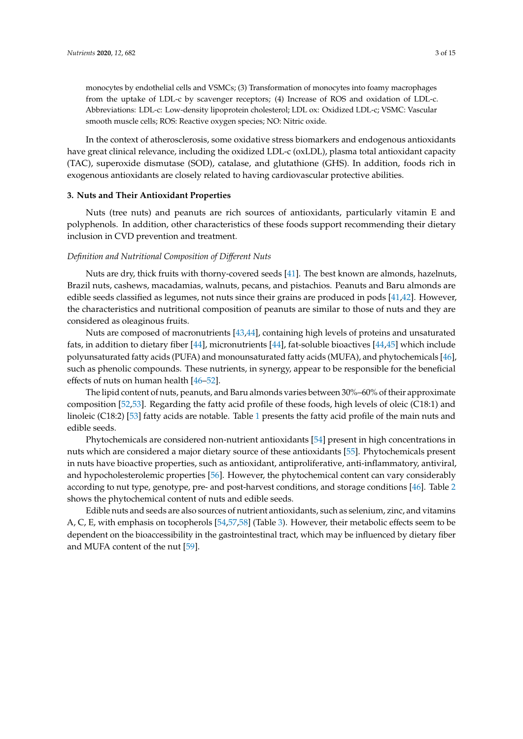monocytes by endothelial cells and VSMCs; (3) Transformation of monocytes into foamy macrophages from the uptake of LDL-c by scavenger receptors; (4) Increase of ROS and oxidation of LDL-c. Abbreviations: LDL-c: Low-density lipoprotein cholesterol; LDL ox: Oxidized LDL-c; VSMC: Vascular smooth muscle cells; ROS: Reactive oxygen species; NO: Nitric oxide.

In the context of atherosclerosis, some oxidative stress biomarkers and endogenous antioxidants have great clinical relevance, including the oxidized LDL-c (oxLDL), plasma total antioxidant capacity (TAC), superoxide dismutase (SOD), catalase, and glutathione (GHS). In addition, foods rich in exogenous antioxidants are closely related to having cardiovascular protective abilities.

#### **3. Nuts and Their Antioxidant Properties**

Nuts (tree nuts) and peanuts are rich sources of antioxidants, particularly vitamin E and polyphenols. In addition, other characteristics of these foods support recommending their dietary inclusion in CVD prevention and treatment.

#### *Definition and Nutritional Composition of Di*ff*erent Nuts*

Nuts are dry, thick fruits with thorny-covered seeds [\[41\]](#page-12-5). The best known are almonds, hazelnuts, Brazil nuts, cashews, macadamias, walnuts, pecans, and pistachios. Peanuts and Baru almonds are edible seeds classified as legumes, not nuts since their grains are produced in pods [\[41](#page-12-5)[,42\]](#page-12-6). However, the characteristics and nutritional composition of peanuts are similar to those of nuts and they are considered as oleaginous fruits.

Nuts are composed of macronutrients [\[43](#page-12-7)[,44\]](#page-12-8), containing high levels of proteins and unsaturated fats, in addition to dietary fiber [\[44\]](#page-12-8), micronutrients [\[44\]](#page-12-8), fat-soluble bioactives [\[44,](#page-12-8)[45\]](#page-12-9) which include polyunsaturated fatty acids (PUFA) and monounsaturated fatty acids (MUFA), and phytochemicals [\[46\]](#page-12-10), such as phenolic compounds. These nutrients, in synergy, appear to be responsible for the beneficial effects of nuts on human health [\[46](#page-12-10)[–52\]](#page-12-11).

The lipid content of nuts, peanuts, and Baru almonds varies between 30%–60% of their approximate composition [\[52,](#page-12-11)[53\]](#page-12-12). Regarding the fatty acid profile of these foods, high levels of oleic (C18:1) and linoleic (C18:2) [\[53\]](#page-12-12) fatty acids are notable. Table [1](#page-3-0) presents the fatty acid profile of the main nuts and edible seeds.

Phytochemicals are considered non-nutrient antioxidants [\[54\]](#page-12-13) present in high concentrations in nuts which are considered a major dietary source of these antioxidants [\[55\]](#page-12-14). Phytochemicals present in nuts have bioactive properties, such as antioxidant, antiproliferative, anti-inflammatory, antiviral, and hypocholesterolemic properties [\[56\]](#page-12-15). However, the phytochemical content can vary considerably according to nut type, genotype, pre- and post-harvest conditions, and storage conditions [\[46\]](#page-12-10). Table [2](#page-3-1) shows the phytochemical content of nuts and edible seeds.

Edible nuts and seeds are also sources of nutrient antioxidants, such as selenium, zinc, and vitamins A, C, E, with emphasis on tocopherols [\[54](#page-12-13)[,57](#page-13-0)[,58\]](#page-13-1) (Table [3\)](#page-4-0). However, their metabolic effects seem to be dependent on the bioaccessibility in the gastrointestinal tract, which may be influenced by dietary fiber and MUFA content of the nut [\[59\]](#page-13-2).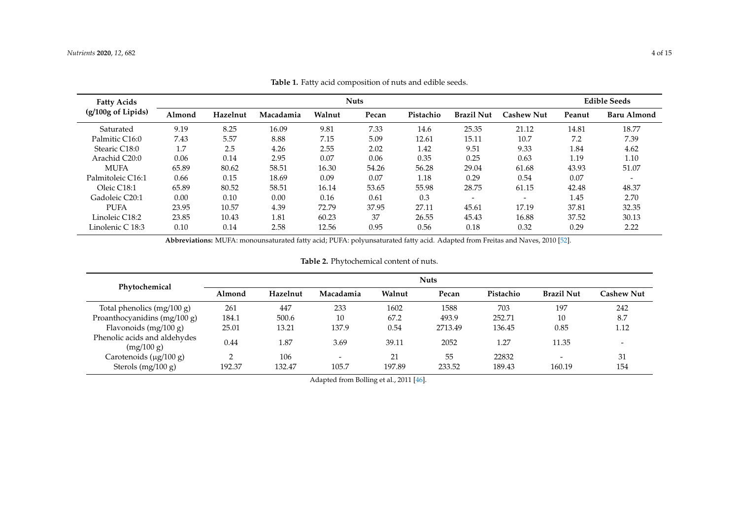| <b>Fatty Acids</b> | <b>Nuts</b> |          |           |        |       |           |                          |                          |        | <b>Edible Seeds</b>      |  |
|--------------------|-------------|----------|-----------|--------|-------|-----------|--------------------------|--------------------------|--------|--------------------------|--|
| (g/100g of Lipids) | Almond      | Hazelnut | Macadamia | Walnut | Pecan | Pistachio | <b>Brazil Nut</b>        | <b>Cashew Nut</b>        | Peanut | Baru Almond              |  |
| Saturated          | 9.19        | 8.25     | 16.09     | 9.81   | 7.33  | 14.6      | 25.35                    | 21.12                    | 14.81  | 18.77                    |  |
| Palmitic C16:0     | 7.43        | 5.57     | 8.88      | 7.15   | 5.09  | 12.61     | 15.11                    | 10.7                     | 7.2    | 7.39                     |  |
| Stearic C18:0      | 1.7         | 2.5      | 4.26      | 2.55   | 2.02  | 1.42      | 9.51                     | 9.33                     | 1.84   | 4.62                     |  |
| Arachid C20:0      | 0.06        | 0.14     | 2.95      | 0.07   | 0.06  | 0.35      | 0.25                     | 0.63                     | 1.19   | 1.10                     |  |
| <b>MUFA</b>        | 65.89       | 80.62    | 58.51     | 16.30  | 54.26 | 56.28     | 29.04                    | 61.68                    | 43.93  | 51.07                    |  |
| Palmitoleic C16:1  | 0.66        | 0.15     | 18.69     | 0.09   | 0.07  | 1.18      | 0.29                     | 0.54                     | 0.07   | $\overline{\phantom{0}}$ |  |
| Oleic C18:1        | 65.89       | 80.52    | 58.51     | 16.14  | 53.65 | 55.98     | 28.75                    | 61.15                    | 42.48  | 48.37                    |  |
| Gadoleic C20:1     | 0.00        | 0.10     | 0.00      | 0.16   | 0.61  | 0.3       | $\overline{\phantom{a}}$ | $\overline{\phantom{a}}$ | 1.45   | 2.70                     |  |
| <b>PUFA</b>        | 23.95       | 10.57    | 4.39      | 72.79  | 37.95 | 27.11     | 45.61                    | 17.19                    | 37.81  | 32.35                    |  |
| Linoleic C18:2     | 23.85       | 10.43    | 1.81      | 60.23  | 37    | 26.55     | 45.43                    | 16.88                    | 37.52  | 30.13                    |  |
| Linolenic C 18:3   | 0.10        | 0.14     | 2.58      | 12.56  | 0.95  | 0.56      | 0.18                     | 0.32                     | 0.29   | 2.22                     |  |

**Table 1.** Fatty acid composition of nuts and edible seeds.

**Abbreviations:** MUFA: monounsaturated fatty acid; PUFA: polyunsaturated fatty acid. Adapted from Freitas and Naves, 2010 [\[52\]](#page-12-7).

## **Table 2.** Phytochemical content of nuts.

<span id="page-3-1"></span><span id="page-3-0"></span>

| Phytochemical                                       | <b>Nuts</b> |               |            |              |              |                 |                                    |            |  |
|-----------------------------------------------------|-------------|---------------|------------|--------------|--------------|-----------------|------------------------------------|------------|--|
|                                                     | Almond      | Hazelnut      | Macadamia  | Walnut       | Pecan        | Pistachio       | <b>Brazil Nut</b>                  | Cashew Nut |  |
| Total phenolics $(mg/100 g)$                        | 261         | 447           | 233        | 1602         | 1588         | 703             | 197                                | 242        |  |
| Proanthocyanidins (mg/100 g)                        | 184.1       | 500.6         | 10         | 67.2         | 493.9        | 252.71          | 10                                 | 8.7        |  |
| Flavonoids (mg/100 g)                               | 25.01       | 13.21         | 137.9      | 0.54         | 2713.49      | 136.45          | 0.85                               | 1.12       |  |
| Phenolic acids and aldehydes<br>(mg/100 g)          | 0.44        | 1.87          | 3.69       | 39.11        | 2052         | 1.27            | 11.35                              |            |  |
| Carotenoids $(\mu g/100 g)$<br>Sterols $(mg/100 g)$ | ◠<br>192.37 | 106<br>132.47 | -<br>105.7 | 21<br>197.89 | 55<br>233.52 | 22832<br>189.43 | $\overline{\phantom{0}}$<br>160.19 | 31<br>154  |  |

Adapted from Bolling et al., 2011 [\[46\]](#page-12-16).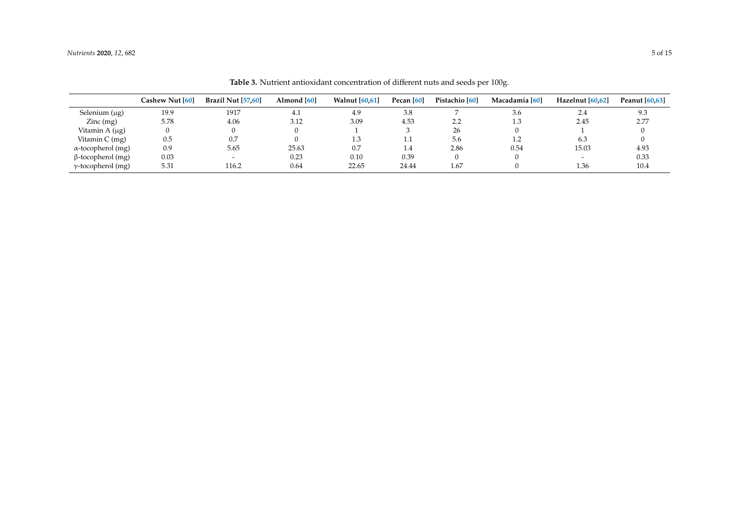<span id="page-4-0"></span>

|                                        | Cashew Nut [60] | <b>Brazil Nut [57,60]</b> | Almond [60] | <b>Walnut</b> [60.61] | Pecan [60] | Pistachio [60] | Macadamia [60] | Hazelnut [60.62]         | <b>Peanut</b> [60,63] |
|----------------------------------------|-----------------|---------------------------|-------------|-----------------------|------------|----------------|----------------|--------------------------|-----------------------|
| Selenium $(\mu g)$                     | 19.9            | 1917                      | 4.1         | 4.9                   | 3.8        |                | 3.6            | 2.4                      | 9.3                   |
| $\text{Zinc} \left( \text{mg} \right)$ | 5.78            | 4.06                      | 3.12        | 3.09                  | 4.53       | 2.2            | 1.3            | 2.45                     | 2.77                  |
| Vitamin $A(\mu g)$                     |                 | 0                         |             |                       |            | 26             |                |                          |                       |
| Vitamin $C$ (mg)                       | 0.5             | 0.7                       |             | 1.3                   | 1.1        | 5.6            |                | 6.3                      |                       |
| $\alpha$ -tocopherol (mg)              | 0.9             | 5.65                      | 25.63       | 0.7                   | 1.4        | 2.86           | 0.54           | 15.03                    | 4.93                  |
| $\beta$ -tocopherol (mg)               | 0.03            | $\overline{\phantom{0}}$  | 0.23        | 0.10                  | 0.39       |                |                | $\overline{\phantom{0}}$ | 0.33                  |
| $\gamma$ -tocopherol (mg)              | 5.31            | 116.2                     | 0.64        | 22.65                 | 24.44      | 1.67           |                | 1.36                     | 10.4                  |

**Table 3.** Nutrient antioxidant concentration of different nuts and seeds per 100g.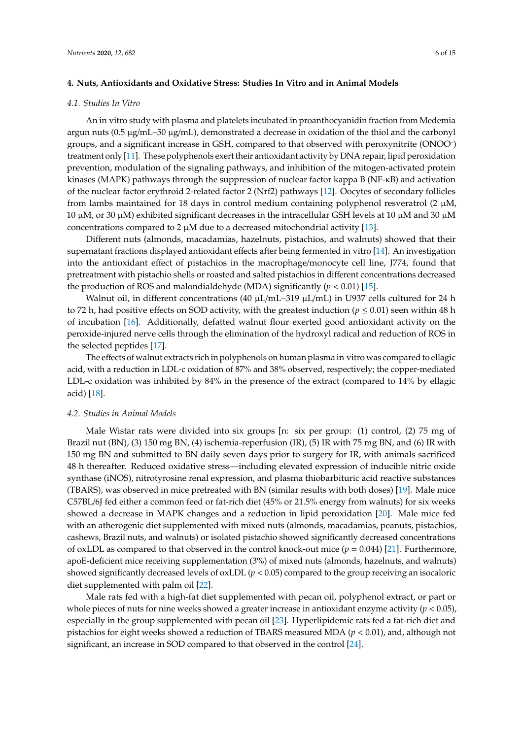#### *4.1. Studies In Vitro*

An in vitro study with plasma and platelets incubated in proanthocyanidin fraction from Medemia argun nuts  $(0.5 \mu g/mL-50 \mu g/mL)$ , demonstrated a decrease in oxidation of the thiol and the carbonyl groups, and a significant increase in GSH, compared to that observed with peroxynitrite (ONOO- ) treatment only [\[11\]](#page-10-10). These polyphenols exert their antioxidant activity by DNA repair, lipid peroxidation prevention, modulation of the signaling pathways, and inhibition of the mitogen-activated protein kinases (MAPK) pathways through the suppression of nuclear factor kappa B (NF-κB) and activation of the nuclear factor erythroid 2-related factor 2 (Nrf2) pathways [\[12\]](#page-10-11). Oocytes of secondary follicles from lambs maintained for 18 days in control medium containing polyphenol resveratrol (2  $\mu$ M, 10  $\mu$ M, or 30  $\mu$ M) exhibited significant decreases in the intracellular GSH levels at 10  $\mu$ M and 30  $\mu$ M concentrations compared to 2  $\mu$ M due to a decreased mitochondrial activity [\[13\]](#page-10-12).

Different nuts (almonds, macadamias, hazelnuts, pistachios, and walnuts) showed that their supernatant fractions displayed antioxidant effects after being fermented in vitro [\[14\]](#page-10-13). An investigation into the antioxidant effect of pistachios in the macrophage/monocyte cell line, J774, found that pretreatment with pistachio shells or roasted and salted pistachios in different concentrations decreased the production of ROS and malondialdehyde (MDA) significantly  $(p < 0.01)$  [\[15\]](#page-11-7).

Walnut oil, in different concentrations (40  $\mu$ L/mL–319  $\mu$ L/mL) in U937 cells cultured for 24 h to 72 h, had positive effects on SOD activity, with the greatest induction ( $p \le 0.01$ ) seen within 48 h of incubation [\[16\]](#page-11-8). Additionally, defatted walnut flour exerted good antioxidant activity on the peroxide-injured nerve cells through the elimination of the hydroxyl radical and reduction of ROS in the selected peptides [\[17\]](#page-11-9).

The effects of walnut extracts rich in polyphenols on human plasma in vitro was compared to ellagic acid, with a reduction in LDL-c oxidation of 87% and 38% observed, respectively; the copper-mediated LDL-c oxidation was inhibited by 84% in the presence of the extract (compared to 14% by ellagic acid) [\[18\]](#page-11-0).

#### *4.2. Studies in Animal Models*

Male Wistar rats were divided into six groups [n: six per group: (1) control, (2) 75 mg of Brazil nut (BN), (3) 150 mg BN, (4) ischemia-reperfusion (IR), (5) IR with 75 mg BN, and (6) IR with 150 mg BN and submitted to BN daily seven days prior to surgery for IR, with animals sacrificed 48 h thereafter. Reduced oxidative stress—including elevated expression of inducible nitric oxide synthase (iNOS), nitrotyrosine renal expression, and plasma thiobarbituric acid reactive substances (TBARS), was observed in mice pretreated with BN (similar results with both doses) [\[19\]](#page-11-1). Male mice C57BL/6J fed either a common feed or fat-rich diet (45% or 21.5% energy from walnuts) for six weeks showed a decrease in MAPK changes and a reduction in lipid peroxidation [\[20\]](#page-11-10). Male mice fed with an atherogenic diet supplemented with mixed nuts (almonds, macadamias, peanuts, pistachios, cashews, Brazil nuts, and walnuts) or isolated pistachio showed significantly decreased concentrations of oxLDL as compared to that observed in the control knock-out mice (*p* = 0.044) [\[21\]](#page-11-11). Furthermore, apoE-deficient mice receiving supplementation (3%) of mixed nuts (almonds, hazelnuts, and walnuts) showed significantly decreased levels of oxLDL (*p* < 0.05) compared to the group receiving an isocaloric diet supplemented with palm oil [\[22\]](#page-11-12).

Male rats fed with a high-fat diet supplemented with pecan oil, polyphenol extract, or part or whole pieces of nuts for nine weeks showed a greater increase in antioxidant enzyme activity (*p* < 0.05), especially in the group supplemented with pecan oil [\[23\]](#page-11-13). Hyperlipidemic rats fed a fat-rich diet and pistachios for eight weeks showed a reduction of TBARS measured MDA (*p* < 0.01), and, although not significant, an increase in SOD compared to that observed in the control [\[24\]](#page-11-2).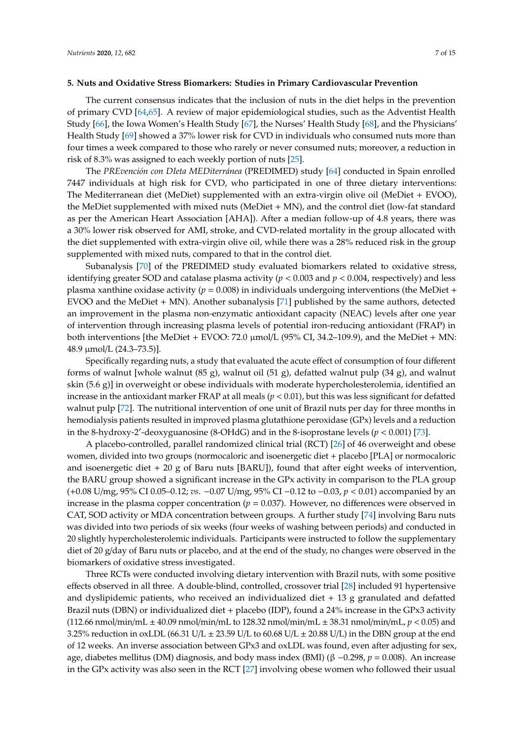#### **5. Nuts and Oxidative Stress Biomarkers: Studies in Primary Cardiovascular Prevention**

The current consensus indicates that the inclusion of nuts in the diet helps in the prevention of primary CVD [\[64,](#page-13-8)[65\]](#page-13-9). A review of major epidemiological studies, such as the Adventist Health Study [\[66\]](#page-13-10), the Iowa Women's Health Study [\[67\]](#page-13-11), the Nurses' Health Study [\[68\]](#page-13-12), and the Physicians' Health Study [\[69\]](#page-13-13) showed a 37% lower risk for CVD in individuals who consumed nuts more than four times a week compared to those who rarely or never consumed nuts; moreover, a reduction in risk of 8.3% was assigned to each weekly portion of nuts [\[25\]](#page-11-3).

The *PREvención con DIeta MEDiterránea* (PREDIMED) study [\[64\]](#page-13-8) conducted in Spain enrolled 7447 individuals at high risk for CVD, who participated in one of three dietary interventions: The Mediterranean diet (MeDiet) supplemented with an extra-virgin olive oil (MeDiet + EVOO), the MeDiet supplemented with mixed nuts (MeDiet + MN), and the control diet (low-fat standard as per the American Heart Association [AHA]). After a median follow-up of 4.8 years, there was a 30% lower risk observed for AMI, stroke, and CVD-related mortality in the group allocated with the diet supplemented with extra-virgin olive oil, while there was a 28% reduced risk in the group supplemented with mixed nuts, compared to that in the control diet.

Subanalysis [\[70\]](#page-13-14) of the PREDIMED study evaluated biomarkers related to oxidative stress, identifying greater SOD and catalase plasma activity (*p* < 0.003 and *p* < 0.004, respectively) and less plasma xanthine oxidase activity ( $p = 0.008$ ) in individuals undergoing interventions (the MeDiet + EVOO and the MeDiet + MN). Another subanalysis [\[71\]](#page-13-15) published by the same authors, detected an improvement in the plasma non-enzymatic antioxidant capacity (NEAC) levels after one year of intervention through increasing plasma levels of potential iron-reducing antioxidant (FRAP) in both interventions [the MeDiet + EVOO: 72.0  $\mu$ mol/L (95% CI, 34.2–109.9), and the MeDiet + MN: 48.9 µmol/L (24.3–73.5)].

Specifically regarding nuts, a study that evaluated the acute effect of consumption of four different forms of walnut [whole walnut (85 g), walnut oil (51 g), defatted walnut pulp (34 g), and walnut skin (5.6 g)] in overweight or obese individuals with moderate hypercholesterolemia, identified an increase in the antioxidant marker FRAP at all meals (*p* < 0.01), but this was less significant for defatted walnut pulp [\[72\]](#page-13-16). The nutritional intervention of one unit of Brazil nuts per day for three months in hemodialysis patients resulted in improved plasma glutathione peroxidase (GPx) levels and a reduction in the 8-hydroxy-2'-deoxyguanosine (8-OHdG) and in the 8-isoprostane levels ( $p < 0.001$ ) [\[73\]](#page-13-17).

A placebo-controlled, parallel randomized clinical trial (RCT) [\[26\]](#page-11-4) of 46 overweight and obese women, divided into two groups (normocaloric and isoenergetic diet + placebo [PLA] or normocaloric and isoenergetic diet  $+ 20$  g of Baru nuts [BARU]), found that after eight weeks of intervention, the BARU group showed a significant increase in the GPx activity in comparison to the PLA group (+0.08 U/mg, 95% CI 0.05–0.12; *vs*. −0.07 U/mg, 95% CI −0.12 to −0.03, *p* < 0.01) accompanied by an increase in the plasma copper concentration ( $p = 0.037$ ). However, no differences were observed in CAT, SOD activity or MDA concentration between groups. A further study [\[74\]](#page-13-18) involving Baru nuts was divided into two periods of six weeks (four weeks of washing between periods) and conducted in 20 slightly hypercholesterolemic individuals. Participants were instructed to follow the supplementary diet of 20 g/day of Baru nuts or placebo, and at the end of the study, no changes were observed in the biomarkers of oxidative stress investigated.

Three RCTs were conducted involving dietary intervention with Brazil nuts, with some positive effects observed in all three. A double-blind, controlled, crossover trial [\[28\]](#page-11-14) included 91 hypertensive and dyslipidemic patients, who received an individualized diet  $+13$  g granulated and defatted Brazil nuts (DBN) or individualized diet + placebo (IDP), found a 24% increase in the GPx3 activity (112.66 nmol/min/mL ± 40.09 nmol/min/mL to 128.32 nmol/min/mL ± 38.31 nmol/min/mL, *p* < 0.05) and 3.25% reduction in oxLDL (66.31 U/L  $\pm$  23.59 U/L to 60.68 U/L  $\pm$  20.88 U/L) in the DBN group at the end of 12 weeks. An inverse association between GPx3 and oxLDL was found, even after adjusting for sex, age, diabetes mellitus (DM) diagnosis, and body mass index (BMI) (β −0.298, *p* = 0.008). An increase in the GPx activity was also seen in the RCT [\[27\]](#page-11-15) involving obese women who followed their usual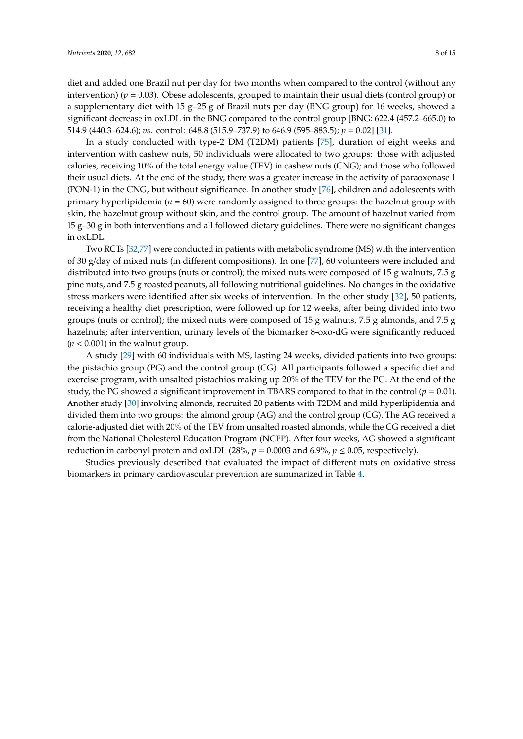diet and added one Brazil nut per day for two months when compared to the control (without any intervention) (*p* = 0.03). Obese adolescents, grouped to maintain their usual diets (control group) or a supplementary diet with 15 g–25 g of Brazil nuts per day (BNG group) for 16 weeks, showed a significant decrease in oxLDL in the BNG compared to the control group [BNG: 622.4 (457.2–665.0) to 514.9 (440.3–624.6); *vs.* control: 648.8 (515.9–737.9) to 646.9 (595–883.5); *p* = 0.02] [\[31\]](#page-11-16).

In a study conducted with type-2 DM (T2DM) patients [\[75\]](#page-14-0), duration of eight weeks and intervention with cashew nuts, 50 individuals were allocated to two groups: those with adjusted calories, receiving 10% of the total energy value (TEV) in cashew nuts (CNG); and those who followed their usual diets. At the end of the study, there was a greater increase in the activity of paraoxonase 1 (PON-1) in the CNG, but without significance. In another study [\[76\]](#page-14-1), children and adolescents with primary hyperlipidemia (*n* = 60) were randomly assigned to three groups: the hazelnut group with skin, the hazelnut group without skin, and the control group. The amount of hazelnut varied from 15 g–30 g in both interventions and all followed dietary guidelines. There were no significant changes in oxLDL.

Two RCTs [\[32,](#page-11-5)[77\]](#page-14-2) were conducted in patients with metabolic syndrome (MS) with the intervention of 30 g/day of mixed nuts (in different compositions). In one [\[77\]](#page-14-2), 60 volunteers were included and distributed into two groups (nuts or control); the mixed nuts were composed of 15 g walnuts, 7.5 g pine nuts, and 7.5 g roasted peanuts, all following nutritional guidelines. No changes in the oxidative stress markers were identified after six weeks of intervention. In the other study [\[32\]](#page-11-5), 50 patients, receiving a healthy diet prescription, were followed up for 12 weeks, after being divided into two groups (nuts or control); the mixed nuts were composed of 15 g walnuts, 7.5 g almonds, and 7.5 g hazelnuts; after intervention, urinary levels of the biomarker 8-oxo-dG were significantly reduced  $(p < 0.001)$  in the walnut group.

A study [\[29\]](#page-11-17) with 60 individuals with MS, lasting 24 weeks, divided patients into two groups: the pistachio group (PG) and the control group (CG). All participants followed a specific diet and exercise program, with unsalted pistachios making up 20% of the TEV for the PG. At the end of the study, the PG showed a significant improvement in TBARS compared to that in the control ( $p = 0.01$ ). Another study [\[30\]](#page-11-18) involving almonds, recruited 20 patients with T2DM and mild hyperlipidemia and divided them into two groups: the almond group (AG) and the control group (CG). The AG received a calorie-adjusted diet with 20% of the TEV from unsalted roasted almonds, while the CG received a diet from the National Cholesterol Education Program (NCEP). After four weeks, AG showed a significant reduction in carbonyl protein and oxLDL (28%,  $p = 0.0003$  and 6.9%,  $p \le 0.05$ , respectively).

Studies previously described that evaluated the impact of different nuts on oxidative stress biomarkers in primary cardiovascular prevention are summarized in Table [4.](#page-8-0)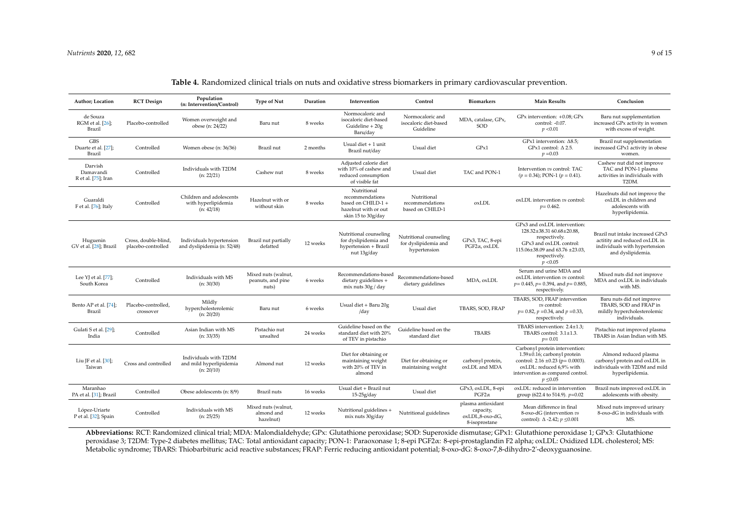| Author; Location                            | <b>RCT</b> Design                          | Population<br>(n: Intervention/Control)                        | <b>Type of Nut</b>                                | Duration | Intervention                                                                                       | Control                                                        | <b>Biomarkers</b>                                                   | <b>Main Results</b>                                                                                                                                                                      | Conclusion                                                                                                              |
|---------------------------------------------|--------------------------------------------|----------------------------------------------------------------|---------------------------------------------------|----------|----------------------------------------------------------------------------------------------------|----------------------------------------------------------------|---------------------------------------------------------------------|------------------------------------------------------------------------------------------------------------------------------------------------------------------------------------------|-------------------------------------------------------------------------------------------------------------------------|
| de Souza<br>RGM et al. [26];<br>Brazil      | Placebo-controlled                         | Women overweight and<br>obese (n: 24/22)                       | Baru nut                                          | 8 weeks  | Normocaloric and<br>isocaloric diet-based<br>Guideline + 20g<br>Baru/day                           | Normocaloric and<br>isocaloric diet-based<br>Guideline         | MDA, catalase, GPx,<br>SOD                                          | $GPx$ intervention: $+0.08$ : $GPx$<br>control: -0.07.<br>p < 0.01                                                                                                                       | Baru nut supplementation<br>increased GPx activity in women<br>with excess of weight.                                   |
| <b>GBS</b><br>Duarte et al. [27];<br>Brazil | Controlled                                 | Women obese (n: 36/36)                                         | Brazil nut                                        | 2 months | Usual diet $+1$ unit<br>Brazil nut/day                                                             | Usual diet                                                     | GPx1                                                                | GPx1 intervention: $\Delta$ 8.5;<br>GPx1 control: $\Delta$ 2.5.<br>$p = 0.03$                                                                                                            | Brazil nut supplementation<br>increased GPx1 activity in obese<br>women.                                                |
| Darvish<br>Damavandi<br>R et al. [75]; Iran | Controlled                                 | Individuals with T2DM<br>(n: 22/21)                            | Cashew nut                                        | 8 weeks  | Adjusted calorie diet<br>with 10% of cashew and<br>reduced consumption<br>of visible fat           | Usual diet                                                     | TAC and PON-1                                                       | Intervention vs control: TAC<br>$(p = 0.34)$ ; PON-1 $(p = 0.41)$ .                                                                                                                      | Cashew nut did not improve<br>TAC and PON-1 plasma<br>activities in individuals with<br>T2DM.                           |
| Guaraldi<br>F et al. [76]; Italy            | Controlled                                 | Children and adolescents<br>with hyperlipidemia<br>(n: 42/18)  | Hazelnut with or<br>without skin                  | 8 weeks  | Nutritional<br>recommendations<br>based on CHILD-1 +<br>hazelnut with or out<br>skin 15 to 30g/day | Nutritional<br>recommendations<br>based on CHILD-1             | oxLDL                                                               | oxLDL intervention vs control:<br>$p = 0.462$ .                                                                                                                                          | Hazelnuts did not improve the<br>oxLDL in children and<br>adolescents with<br>hyperlipidemia.                           |
| Huguenin<br>GV et al. [28]; Brazil          | Cross, double-blind,<br>placebo-controlled | Individuals hypertension<br>and dyslipidemia (n: 52/48)        | Brazil nut partially<br>defatted                  | 12 weeks | Nutritional counseling<br>for dyslipidemia and<br>hypertension + Brazil<br>nut 13g/day             | Nutritional counseling<br>for dyslipidemia and<br>hypertension | GPx3, TAC, 8-epi<br>$PGF2\alpha$ , oxLDL                            | GPx3 and oxLDL intervention:<br>128.32±38.31 60.68±20.88,<br>respectively.<br>GPx3 and oxLDL control:<br>115.06±38.09 and 63.76 ±23.03,<br>respectively.<br>p < 0.05                     | Brazil nut intake increased GPx3<br>actitity and reduced oxLDL in<br>individuals with hypertension<br>and dyslipidemia. |
| Lee YJ et al. [77];<br>South Korea          | Controlled                                 | Individuals with MS<br>(n: 30/30)                              | Mixed nuts (walnut,<br>peanuts, and pine<br>nuts) | 6 weeks  | Recommendations-based<br>dietary guidelines +<br>mix nuts 30g / day                                | Recommendations-based<br>dietary guidelines                    | MDA, oxLDL                                                          | Serum and urine MDA and<br>oxLDL intervention vs control:<br>$p=0.445$ , $p=0.394$ , and $p=0.885$ ,<br>respectively.                                                                    | Mixed nuts did not improve<br>MDA and oxLDL in individuals<br>with MS.                                                  |
| Bento AP et al. [74];<br>Brazil             | Placebo-controlled,<br>crossover           | Mildly<br>hypercholesterolemic<br>(n: 20/20)                   | Baru nut                                          | 6 weeks  | Usual diet + Baru 20g<br>/day                                                                      | Usual diet                                                     | TBARS, SOD, FRAP                                                    | TBARS, SOD, FRAP intervention<br>vs control:<br>$p = 0.82$ , $p = 0.34$ , and $p = 0.33$ ,<br>respectively.                                                                              | Baru nuts did not improve<br>TBARS, SOD and FRAP in<br>mildly hypercholesterolemic<br>individuals.                      |
| Gulati S et al. [29];<br>India              | Controlled                                 | Asian Indian with MS<br>(n: 33/35)                             | Pistachio nut<br>unsalted                         | 24 weeks | Guideline based on the<br>standard diet with 20%<br>of TEV in pistachio                            | Guideline based on the<br>standard diet                        | <b>TBARS</b>                                                        | TBARS intervention: 2.4±1.3:<br>TBARS control: 3.1±1.3.<br>$p = 0.01$                                                                                                                    | Pistachio nut improved plasma<br>TBARS in Asian Indian with MS.                                                         |
| Liu JF et al. $[30]$ ;<br>Taiwan            | Cross and controlled                       | Individuals with T2DM<br>and mild hyperlipidemia<br>(n: 20/10) | Almond nut                                        | 12 weeks | Diet for obtaining or<br>maintaining weight<br>with 20% of TEV in<br>almond                        | Diet for obtaining or<br>maintaining weight                    | carbonyl protein,<br>oxLDL and MDA                                  | Carbonyl protein intervention:<br>1.59±0.16; carbonyl protein<br>control: $2.16 \pm 0.23$ (p= 0.0003).<br>oxLDL: reduced 6.9% with<br>intervention as compared control.<br>$p \leq 0.05$ | Almond reduced plasma<br>carbonyl protein and oxLDL in<br>individuals with T2DM and mild<br>hyperlipidemia.             |
| Maranhao<br>PA et al. [31]; Brazil          | Controlled                                 | Obese adolescents (n: 8/9)                                     | Brazil nuts                                       | 16 weeks | Usual diet + Brazil nut<br>$15-25g/day$                                                            | Usual diet                                                     | GPx3, oxLDL, 8-epi<br>$PGF2\alpha$                                  | oxLDL: reduced in intervention<br>group (622.4 to 514.9). $p=0.02$                                                                                                                       | Brazil nuts improved oxLDL in<br>adolescents with obesity.                                                              |
| López-Uriarte<br>P et al. [32]; Spain       | Controlled                                 | Individuals with MS<br>(n: 25/25)                              | Mixed nuts (walnut,<br>almond and<br>hazelnut)    | 12 weeks | Nutritional guidelines +<br>mix nuts 30g/day                                                       | Nutritional guidelines                                         | plasma antioxidant<br>capacity,<br>oxLDL,8-oxo-dG,<br>8-isoprostane | Mean difference in final<br>8-oxo-dG (intervention vs<br>control): $\Delta$ -2.42; $p \le 0.001$                                                                                         | Mixed nuts improved urinary<br>8-oxo-dG in individuals with<br>MS.                                                      |

### **Table 4.** Randomized clinical trials on nuts and oxidative stress biomarkers in primary cardiovascular prevention.

<span id="page-8-0"></span>**Abbreviations:** RCT: Randomized clinical trial; MDA: Malondialdehyde; GPx: Glutathione peroxidase; SOD: Superoxide dismutase; GPx1: Glutathione peroxidase 1; GPx3: Glutathione peroxidase 3; T2DM: Type-2 diabetes mellitus; TAC: Total antioxidant capacity; PON-1: Paraoxonase 1; 8-epi PGF2α: 8-epi-prostaglandin F2 alpha; oxLDL: Oxidized LDL cholesterol; MS: Metabolic syndrome; TBARS: Thiobarbituric acid reactive substances; FRAP: Ferric reducing antioxidant potential; 8-oxo-dG: 8-oxo-7,8-dihydro-2'-deoxyguanosine.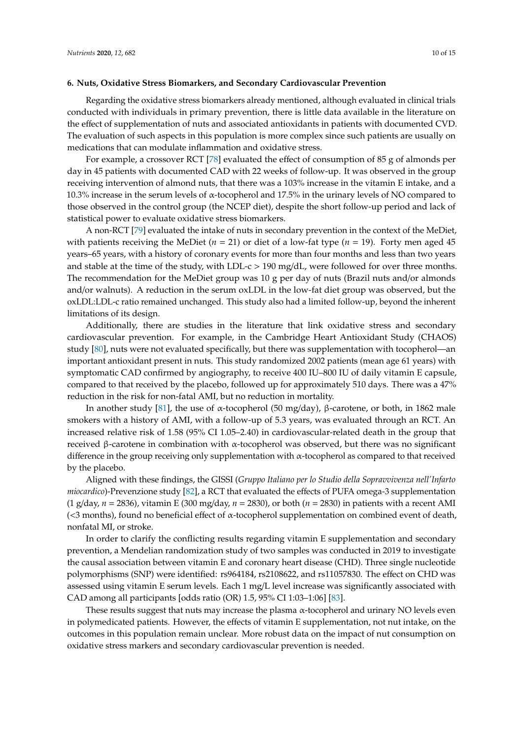#### **6. Nuts, Oxidative Stress Biomarkers, and Secondary Cardiovascular Prevention**

Regarding the oxidative stress biomarkers already mentioned, although evaluated in clinical trials conducted with individuals in primary prevention, there is little data available in the literature on the effect of supplementation of nuts and associated antioxidants in patients with documented CVD. The evaluation of such aspects in this population is more complex since such patients are usually on medications that can modulate inflammation and oxidative stress.

For example, a crossover RCT [\[78\]](#page-14-6) evaluated the effect of consumption of 85 g of almonds per day in 45 patients with documented CAD with 22 weeks of follow-up. It was observed in the group receiving intervention of almond nuts, that there was a 103% increase in the vitamin E intake, and a 10.3% increase in the serum levels of α-tocopherol and 17.5% in the urinary levels of NO compared to those observed in the control group (the NCEP diet), despite the short follow-up period and lack of statistical power to evaluate oxidative stress biomarkers.

A non-RCT [\[79\]](#page-14-7) evaluated the intake of nuts in secondary prevention in the context of the MeDiet, with patients receiving the MeDiet (*n* = 21) or diet of a low-fat type (*n* = 19). Forty men aged 45 years–65 years, with a history of coronary events for more than four months and less than two years and stable at the time of the study, with LDL-c  $> 190$  mg/dL, were followed for over three months. The recommendation for the MeDiet group was 10 g per day of nuts (Brazil nuts and/or almonds and/or walnuts). A reduction in the serum oxLDL in the low-fat diet group was observed, but the oxLDL:LDL-c ratio remained unchanged. This study also had a limited follow-up, beyond the inherent limitations of its design.

Additionally, there are studies in the literature that link oxidative stress and secondary cardiovascular prevention. For example, in the Cambridge Heart Antioxidant Study (CHAOS) study [\[80\]](#page-14-8), nuts were not evaluated specifically, but there was supplementation with tocopherol—an important antioxidant present in nuts. This study randomized 2002 patients (mean age 61 years) with symptomatic CAD confirmed by angiography, to receive 400 IU–800 IU of daily vitamin E capsule, compared to that received by the placebo, followed up for approximately 510 days. There was a 47% reduction in the risk for non-fatal AMI, but no reduction in mortality.

In another study [\[81\]](#page-14-9), the use of α-tocopherol (50 mg/day), β-carotene, or both, in 1862 male smokers with a history of AMI, with a follow-up of 5.3 years, was evaluated through an RCT. An increased relative risk of 1.58 (95% CI 1.05–2.40) in cardiovascular-related death in the group that received β-carotene in combination with  $α$ -tocopherol was observed, but there was no significant difference in the group receiving only supplementation with  $\alpha$ -tocopherol as compared to that received by the placebo.

Aligned with these findings, the GISSI (*Gruppo Italiano per lo Studio della Sopravvivenza nell'Infarto miocardico*)-Prevenzione study [\[82\]](#page-14-10), a RCT that evaluated the effects of PUFA omega-3 supplementation (1 g/day, *n* = 2836), vitamin E (300 mg/day, *n* = 2830), or both (*n* = 2830) in patients with a recent AMI (<3 months), found no beneficial effect of α-tocopherol supplementation on combined event of death, nonfatal MI, or stroke.

In order to clarify the conflicting results regarding vitamin E supplementation and secondary prevention, a Mendelian randomization study of two samples was conducted in 2019 to investigate the causal association between vitamin E and coronary heart disease (CHD). Three single nucleotide polymorphisms (SNP) were identified: rs964184, rs2108622, and rs11057830. The effect on CHD was assessed using vitamin E serum levels. Each 1 mg/L level increase was significantly associated with CAD among all participants [odds ratio (OR) 1.5, 95% CI 1:03–1:06] [\[83\]](#page-14-11).

These results suggest that nuts may increase the plasma  $\alpha$ -tocopherol and urinary NO levels even in polymedicated patients. However, the effects of vitamin E supplementation, not nut intake, on the outcomes in this population remain unclear. More robust data on the impact of nut consumption on oxidative stress markers and secondary cardiovascular prevention is needed.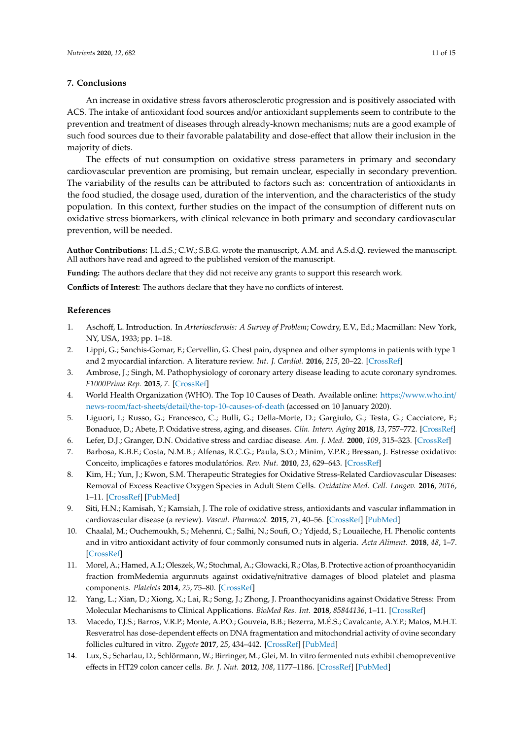#### **7. Conclusions**

An increase in oxidative stress favors atherosclerotic progression and is positively associated with ACS. The intake of antioxidant food sources and/or antioxidant supplements seem to contribute to the prevention and treatment of diseases through already-known mechanisms; nuts are a good example of such food sources due to their favorable palatability and dose-effect that allow their inclusion in the majority of diets.

The effects of nut consumption on oxidative stress parameters in primary and secondary cardiovascular prevention are promising, but remain unclear, especially in secondary prevention. The variability of the results can be attributed to factors such as: concentration of antioxidants in the food studied, the dosage used, duration of the intervention, and the characteristics of the study population. In this context, further studies on the impact of the consumption of different nuts on oxidative stress biomarkers, with clinical relevance in both primary and secondary cardiovascular prevention, will be needed.

**Author Contributions:** J.L.d.S.; C.W.; S.B.G. wrote the manuscript, A.M. and A.S.d.Q. reviewed the manuscript. All authors have read and agreed to the published version of the manuscript.

**Funding:** The authors declare that they did not receive any grants to support this research work.

**Conflicts of Interest:** The authors declare that they have no conflicts of interest.

#### **References**

- <span id="page-10-0"></span>1. Aschoff, L. Introduction. In *Arteriosclerosis: A Survey of Problem*; Cowdry, E.V., Ed.; Macmillan: New York, NY, USA, 1933; pp. 1–18.
- <span id="page-10-1"></span>2. Lippi, G.; Sanchis-Gomar, F.; Cervellin, G. Chest pain, dyspnea and other symptoms in patients with type 1 and 2 myocardial infarction. A literature review. *Int. J. Cardiol.* **2016**, *215*, 20–22. [\[CrossRef\]](http://dx.doi.org/10.1016/j.ijcard.2016.04.045)
- <span id="page-10-2"></span>3. Ambrose, J.; Singh, M. Pathophysiology of coronary artery disease leading to acute coronary syndromes. *F1000Prime Rep.* **2015**, *7*. [\[CrossRef\]](http://dx.doi.org/10.12703/P7-08)
- <span id="page-10-3"></span>4. World Health Organization (WHO). The Top 10 Causes of Death. Available online: https://[www.who.int](https://www.who.int/news-room/fact-sheets/detail/the-top-10-causes-of-death)/ news-room/fact-sheets/detail/[the-top-10-causes-of-death](https://www.who.int/news-room/fact-sheets/detail/the-top-10-causes-of-death) (accessed on 10 January 2020).
- <span id="page-10-4"></span>5. Liguori, I.; Russo, G.; Francesco, C.; Bulli, G.; Della-Morte, D.; Gargiulo, G.; Testa, G.; Cacciatore, F.; Bonaduce, D.; Abete, P. Oxidative stress, aging, and diseases. *Clin. Interv. Aging* **2018**, *13*, 757–772. [\[CrossRef\]](http://dx.doi.org/10.2147/CIA.S158513)
- <span id="page-10-5"></span>6. Lefer, D.J.; Granger, D.N. Oxidative stress and cardiac disease. *Am. J. Med.* **2000**, *109*, 315–323. [\[CrossRef\]](http://dx.doi.org/10.1016/S0002-9343(00)00467-8)
- <span id="page-10-6"></span>7. Barbosa, K.B.F.; Costa, N.M.B.; Alfenas, R.C.G.; Paula, S.O.; Minim, V.P.R.; Bressan, J. Estresse oxidativo: Conceito, implicações e fatores modulatórios. *Rev. Nut.* **2010**, *23*, 629–643. [\[CrossRef\]](http://dx.doi.org/10.1590/S1415-52732010000400013)
- <span id="page-10-7"></span>8. Kim, H.; Yun, J.; Kwon, S.M. Therapeutic Strategies for Oxidative Stress-Related Cardiovascular Diseases: Removal of Excess Reactive Oxygen Species in Adult Stem Cells. *Oxidative Med. Cell. Longev.* **2016**, *2016*, 1–11. [\[CrossRef\]](http://dx.doi.org/10.1155/2016/2483163) [\[PubMed\]](http://www.ncbi.nlm.nih.gov/pubmed/27668035)
- <span id="page-10-8"></span>9. Siti, H.N.; Kamisah, Y.; Kamsiah, J. The role of oxidative stress, antioxidants and vascular inflammation in cardiovascular disease (a review). *Vascul. Pharmacol.* **2015**, *71*, 40–56. [\[CrossRef\]](http://dx.doi.org/10.1016/j.vph.2015.03.005) [\[PubMed\]](http://www.ncbi.nlm.nih.gov/pubmed/25869516)
- <span id="page-10-9"></span>10. Chaalal, M.; Ouchemoukh, S.; Mehenni, C.; Salhi, N.; Soufi, O.; Ydjedd, S.; Louaileche, H. Phenolic contents and in vitro antioxidant activity of four commonly consumed nuts in algeria. *Acta Aliment.* **2018**, *48*, 1–7. [\[CrossRef\]](http://dx.doi.org/10.1556/066.2018.0009)
- <span id="page-10-10"></span>11. Morel, A.; Hamed, A.I.; Oleszek, W.; Stochmal, A.; Głowacki, R.; Olas, B. Protective action of proanthocyanidin fraction fromMedemia argunnuts against oxidative/nitrative damages of blood platelet and plasma components. *Platelets* **2014**, *25*, 75–80. [\[CrossRef\]](http://dx.doi.org/10.3109/09537104.2013.769511)
- <span id="page-10-11"></span>12. Yang, L.; Xian, D.; Xiong, X.; Lai, R.; Song, J.; Zhong, J. Proanthocyanidins against Oxidative Stress: From Molecular Mechanisms to Clinical Applications. *BioMed Res. Int.* **2018**, *85844136*, 1–11. [\[CrossRef\]](http://dx.doi.org/10.1155/2018/8584136)
- <span id="page-10-12"></span>13. Macedo, T.J.S.; Barros, V.R.P.; Monte, A.P.O.; Gouveia, B.B.; Bezerra, M.É.S.; Cavalcante, A.Y.P.; Matos, M.H.T. Resveratrol has dose-dependent effects on DNA fragmentation and mitochondrial activity of ovine secondary follicles cultured in vitro. *Zygote* **2017**, *25*, 434–442. [\[CrossRef\]](http://dx.doi.org/10.1017/S0967199417000193) [\[PubMed\]](http://www.ncbi.nlm.nih.gov/pubmed/28693629)
- <span id="page-10-13"></span>14. Lux, S.; Scharlau, D.; Schlörmann, W.; Birringer, M.; Glei, M. In vitro fermented nuts exhibit chemopreventive effects in HT29 colon cancer cells. *Br. J. Nut.* **2012**, *108*, 1177–1186. [\[CrossRef\]](http://dx.doi.org/10.1017/S0007114511006647) [\[PubMed\]](http://www.ncbi.nlm.nih.gov/pubmed/22172380)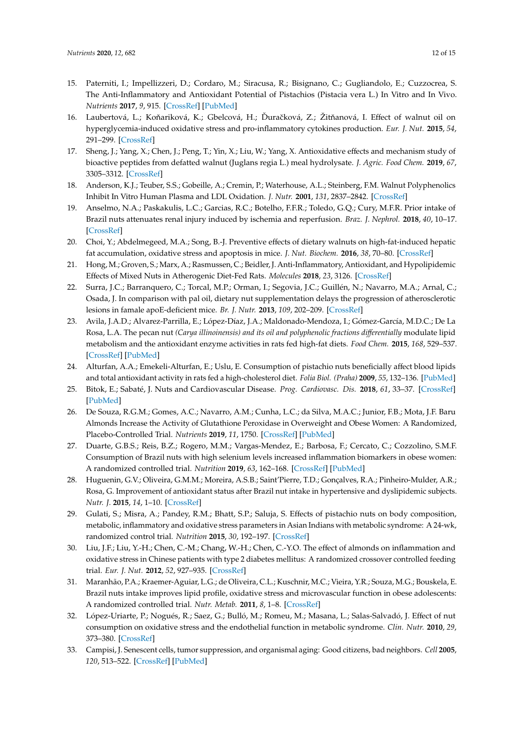- <span id="page-11-7"></span>15. Paterniti, I.; Impellizzeri, D.; Cordaro, M.; Siracusa, R.; Bisignano, C.; Gugliandolo, E.; Cuzzocrea, S. The Anti-Inflammatory and Antioxidant Potential of Pistachios (Pistacia vera L.) In Vitro and In Vivo. *Nutrients* **2017**, *9*, 915. [\[CrossRef\]](http://dx.doi.org/10.3390/nu9080915) [\[PubMed\]](http://www.ncbi.nlm.nih.gov/pubmed/28829406)
- <span id="page-11-8"></span>16. Laubertová, L.; Koňariková, K.; Gbelcová, H.; Ďuračková, Z.; Žitňanová, I. Effect of walnut oil on hyperglycemia-induced oxidative stress and pro-inflammatory cytokines production. *Eur. J. Nut.* **2015**, *54*, 291–299. [\[CrossRef\]](http://dx.doi.org/10.1007/s00394-014-0710-3)
- <span id="page-11-9"></span>17. Sheng, J.; Yang, X.; Chen, J.; Peng, T.; Yin, X.; Liu, W.; Yang, X. Antioxidative effects and mechanism study of bioactive peptides from defatted walnut (Juglans regia L.) meal hydrolysate. *J. Agric. Food Chem.* **2019**, *67*, 3305–3312. [\[CrossRef\]](http://dx.doi.org/10.1021/acs.jafc.8b05722)
- <span id="page-11-19"></span><span id="page-11-0"></span>18. Anderson, K.J.; Teuber, S.S.; Gobeille, A.; Cremin, P.; Waterhouse, A.L.; Steinberg, F.M. Walnut Polyphenolics Inhibit In Vitro Human Plasma and LDL Oxidation. *J. Nutr.* **2001**, *131*, 2837–2842. [\[CrossRef\]](http://dx.doi.org/10.1093/jn/131.11.2837)
- <span id="page-11-20"></span><span id="page-11-1"></span>19. Anselmo, N.A.; Paskakulis, L.C.; Garcias, R.C.; Botelho, F.F.R.; Toledo, G.Q.; Cury, M.F.R. Prior intake of Brazil nuts attenuates renal injury induced by ischemia and reperfusion. *Braz. J. Nephrol.* **2018**, *40*, 10–17. [\[CrossRef\]](http://dx.doi.org/10.1590/1678-46a85-jbn-3819)
- <span id="page-11-10"></span>20. Choi, Y.; Abdelmegeed, M.A.; Song, B.-J. Preventive effects of dietary walnuts on high-fat-induced hepatic fat accumulation, oxidative stress and apoptosis in mice. *J. Nut. Biochem.* **2016**, *38*, 70–80. [\[CrossRef\]](http://dx.doi.org/10.1016/j.jnutbio.2016.08.013)
- <span id="page-11-21"></span><span id="page-11-11"></span>21. Hong, M.; Groven, S.; Marx, A.; Rasmussen, C.; Beidler, J. Anti-Inflammatory, Antioxidant, and Hypolipidemic Effects of Mixed Nuts in Atherogenic Diet-Fed Rats. *Molecules* **2018**, *23*, 3126. [\[CrossRef\]](http://dx.doi.org/10.3390/molecules23123126)
- <span id="page-11-22"></span><span id="page-11-12"></span>22. Surra, J.C.; Barranquero, C.; Torcal, M.P.; Orman, I.; Segovia, J.C.; Guillén, N.; Navarro, M.A.; Arnal, C.; Osada, J. In comparison with pal oil, dietary nut supplementation delays the progression of atherosclerotic lesions in famale apoE-deficient mice. *Br. J. Nutr.* **2013**, *109*, 202–209. [\[CrossRef\]](http://dx.doi.org/10.1017/S000711451200092X)
- <span id="page-11-23"></span><span id="page-11-13"></span>23. Avila, J.A.D.; Alvarez-Parrilla, E.; López-Díaz, J.A.; Maldonado-Mendoza, I.; Gómez-García, M.D.C.; De La Rosa, L.A. The pecan nut *(Carya illinoinensis) and its oil and polyphenolic fractions di*ff*erentially* modulate lipid metabolism and the antioxidant enzyme activities in rats fed high-fat diets. *Food Chem.* **2015**, *168*, 529–537. [\[CrossRef\]](http://dx.doi.org/10.1016/j.foodchem.2014.07.092) [\[PubMed\]](http://www.ncbi.nlm.nih.gov/pubmed/25172744)
- <span id="page-11-24"></span><span id="page-11-2"></span>24. Alturfan, A.A.; Emekeli-Alturfan, E.; Uslu, E. Consumption of pistachio nuts beneficially affect blood lipids and total antioxidant activity in rats fed a high-cholesterol diet. *Folia Biol. (Praha)* **2009**, *55*, 132–136. [\[PubMed\]](http://www.ncbi.nlm.nih.gov/pubmed/19691920)
- <span id="page-11-25"></span><span id="page-11-3"></span>25. Bitok, E.; Sabaté, J. Nuts and Cardiovascular Disease. *Prog. Cardiovasc. Dis.* **2018**, *61*, 33–37. [\[CrossRef\]](http://dx.doi.org/10.1016/j.pcad.2018.05.003) [\[PubMed\]](http://www.ncbi.nlm.nih.gov/pubmed/29800597)
- <span id="page-11-4"></span>26. De Souza, R.G.M.; Gomes, A.C.; Navarro, A.M.; Cunha, L.C.; da Silva, M.A.C.; Junior, F.B.; Mota, J.F. Baru Almonds Increase the Activity of Glutathione Peroxidase in Overweight and Obese Women: A Randomized, Placebo-Controlled Trial. *Nutrients* **2019**, *11*, 1750. [\[CrossRef\]](http://dx.doi.org/10.3390/nu11081750) [\[PubMed\]](http://www.ncbi.nlm.nih.gov/pubmed/31366053)
- <span id="page-11-15"></span>27. Duarte, G.B.S.; Reis, B.Z.; Rogero, M.M.; Vargas-Mendez, E.; Barbosa, F.; Cercato, C.; Cozzolino, S.M.F. Consumption of Brazil nuts with high selenium levels increased inflammation biomarkers in obese women: A randomized controlled trial. *Nutrition* **2019**, *63*, 162–168. [\[CrossRef\]](http://dx.doi.org/10.1016/j.nut.2019.02.009) [\[PubMed\]](http://www.ncbi.nlm.nih.gov/pubmed/31026738)
- <span id="page-11-14"></span>28. Huguenin, G.V.; Oliveira, G.M.M.; Moreira, A.S.B.; Saint'Pierre, T.D.; Gonçalves, R.A.; Pinheiro-Mulder, A.R.; Rosa, G. Improvement of antioxidant status after Brazil nut intake in hypertensive and dyslipidemic subjects. *Nutr. J.* **2015**, *14*, 1–10. [\[CrossRef\]](http://dx.doi.org/10.1186/s12937-015-0043-y)
- <span id="page-11-17"></span>29. Gulati, S.; Misra, A.; Pandey, R.M.; Bhatt, S.P.; Saluja, S. Effects of pistachio nuts on body composition, metabolic, inflammatory and oxidative stress parameters in Asian Indians with metabolic syndrome: A 24-wk, randomized control trial. *Nutrition* **2015**, *30*, 192–197. [\[CrossRef\]](http://dx.doi.org/10.1016/j.nut.2013.08.005)
- <span id="page-11-18"></span>30. Liu, J.F.; Liu, Y.-H.; Chen, C.-M.; Chang, W.-H.; Chen, C.-Y.O. The effect of almonds on inflammation and oxidative stress in Chinese patients with type 2 diabetes mellitus: A randomized crossover controlled feeding trial. *Eur. J. Nut.* **2012**, *52*, 927–935. [\[CrossRef\]](http://dx.doi.org/10.1007/s00394-012-0400-y)
- <span id="page-11-16"></span>31. Maranhão, P.A.; Kraemer-Aguiar, L.G.; de Oliveira, C.L.; Kuschnir, M.C.; Vieira, Y.R.; Souza, M.G.; Bouskela, E. Brazil nuts intake improves lipid profile, oxidative stress and microvascular function in obese adolescents: A randomized controlled trial. *Nutr. Metab.* **2011**, *8*, 1–8. [\[CrossRef\]](http://dx.doi.org/10.1186/1743-7075-8-32)
- <span id="page-11-5"></span>32. López-Uriarte, P.; Nogués, R.; Saez, G.; Bulló, M.; Romeu, M.; Masana, L.; Salas-Salvadó, J. Effect of nut consumption on oxidative stress and the endothelial function in metabolic syndrome. *Clin. Nutr.* **2010**, *29*, 373–380. [\[CrossRef\]](http://dx.doi.org/10.1016/j.clnu.2009.12.008)
- <span id="page-11-6"></span>33. Campisi, J. Senescent cells, tumor suppression, and organismal aging: Good citizens, bad neighbors. *Cell* **2005**, *120*, 513–522. [\[CrossRef\]](http://dx.doi.org/10.1016/j.cell.2005.02.003) [\[PubMed\]](http://www.ncbi.nlm.nih.gov/pubmed/15734683)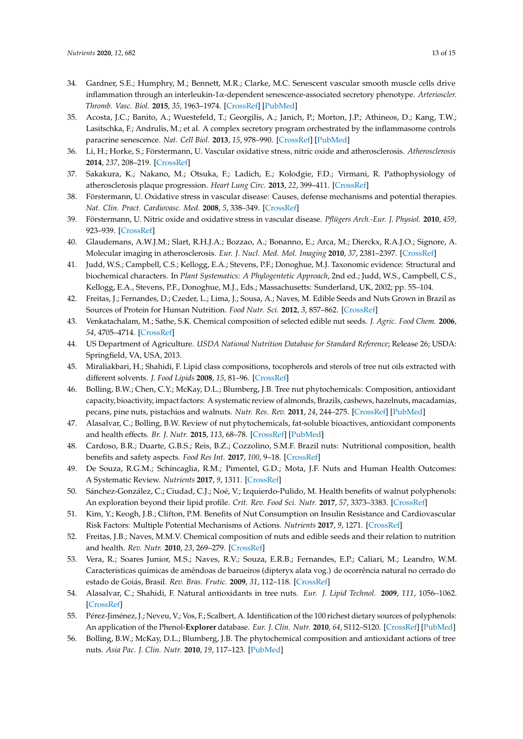- <span id="page-12-0"></span>34. Gardner, S.E.; Humphry, M.; Bennett, M.R.; Clarke, M.C. Senescent vascular smooth muscle cells drive inflammation through an interleukin-1α-dependent senescence-associated secretory phenotype. *Arterioscler. Thromb. Vasc. Biol.* **2015**, *35*, 1963–1974. [\[CrossRef\]](http://dx.doi.org/10.1161/ATVBAHA.115.305896) [\[PubMed\]](http://www.ncbi.nlm.nih.gov/pubmed/26139463)
- <span id="page-12-1"></span>35. Acosta, J.C.; Banito, A.; Wuestefeld, T.; Georgilis, A.; Janich, P.; Morton, J.P.; Athineos, D.; Kang, T.W.; Lasitschka, F.; Andrulis, M.; et al. A complex secretory program orchestrated by the inflammasome controls paracrine senescence. *Nat. Cell Biol.* **2013**, *15*, 978–990. [\[CrossRef\]](http://dx.doi.org/10.1038/ncb2784) [\[PubMed\]](http://www.ncbi.nlm.nih.gov/pubmed/23770676)
- <span id="page-12-2"></span>36. Li, H.; Horke, S.; Förstermann, U. Vascular oxidative stress, nitric oxide and atherosclerosis. *Atherosclerosis* **2014**, *237*, 208–219. [\[CrossRef\]](http://dx.doi.org/10.1016/j.atherosclerosis.2014.09.001)
- <span id="page-12-16"></span>37. Sakakura, K.; Nakano, M.; Otsuka, F.; Ladich, E.; Kolodgie, F.D.; Virmani, R. Pathophysiology of atherosclerosis plaque progression. *Heart Lung Circ.* **2013**, *22*, 399–411. [\[CrossRef\]](http://dx.doi.org/10.1016/j.hlc.2013.03.001)
- 38. Förstermann, U. Oxidative stress in vascular disease: Causes, defense mechanisms and potential therapies. *Nat. Clin. Pract. Cardiovasc. Med.* **2008**, *5*, 338–349. [\[CrossRef\]](http://dx.doi.org/10.1038/ncpcardio1211)
- <span id="page-12-3"></span>39. Förstermann, U. Nitric oxide and oxidative stress in vascular disease. *Pflügers Arch.-Eur. J. Physiol.* **2010**, *459*, 923–939. [\[CrossRef\]](http://dx.doi.org/10.1007/s00424-010-0808-2)
- <span id="page-12-4"></span>40. Glaudemans, A.W.J.M.; Slart, R.H.J.A.; Bozzao, A.; Bonanno, E.; Arca, M.; Dierckx, R.A.J.O.; Signore, A. Molecular imaging in atherosclerosis. *Eur. J. Nucl. Med. Mol. Imaging* **2010**, *37*, 2381–2397. [\[CrossRef\]](http://dx.doi.org/10.1007/s00259-010-1406-4)
- <span id="page-12-5"></span>41. Judd, W.S.; Campbell, C.S.; Kellogg, E.A.; Stevens, P.F.; Donoghue, M.J. Taxonomic evidence: Structural and biochemical characters. In *Plant Systematics: A Phylogentetic Approach*, 2nd ed.; Judd, W.S., Campbell, C.S., Kellogg, E.A., Stevens, P.F., Donoghue, M.J., Eds.; Massachusetts: Sunderland, UK, 2002; pp. 55–104.
- <span id="page-12-6"></span>42. Freitas, J.; Fernandes, D.; Czeder, L.; Lima, J.; Sousa, A.; Naves, M. Edible Seeds and Nuts Grown in Brazil as Sources of Protein for Human Nutrition. *Food Nutr. Sci.* **2012**, *3*, 857–862. [\[CrossRef\]](http://dx.doi.org/10.4236/fns.2012.36114)
- <span id="page-12-7"></span>43. Venkatachalam, M.; Sathe, S.K. Chemical composition of selected edible nut seeds. *J. Agric. Food Chem.* **2006**, *54*, 4705–4714. [\[CrossRef\]](http://dx.doi.org/10.1021/jf0606959)
- <span id="page-12-8"></span>44. US Department of Agriculture. *USDA National Nutrition Database for Standard Reference*; Release 26; USDA: Springfield, VA, USA, 2013.
- <span id="page-12-9"></span>45. Miraliakbari, H.; Shahidi, F. Lipid class compositions, tocopherols and sterols of tree nut oils extracted with different solvents. *J. Food Lipids* **2008**, *15*, 81–96. [\[CrossRef\]](http://dx.doi.org/10.1111/j.1745-4522.2007.00104.x)
- <span id="page-12-10"></span>46. Bolling, B.W.; Chen, C.Y.; McKay, D.L.; Blumberg, J.B. Tree nut phytochemicals: Composition, antioxidant capacity, bioactivity, impact factors: A systematic review of almonds, Brazils, cashews, hazelnuts, macadamias, pecans, pine nuts, pistachios and walnuts. *Nutr. Res. Rev.* **2011**, *24*, 244–275. [\[CrossRef\]](http://dx.doi.org/10.1017/S095442241100014X) [\[PubMed\]](http://www.ncbi.nlm.nih.gov/pubmed/22153059)
- 47. Alasalvar, C.; Bolling, B.W. Review of nut phytochemicals, fat-soluble bioactives, antioxidant components and health effects. *Br. J. Nutr.* **2015**, *113*, 68–78. [\[CrossRef\]](http://dx.doi.org/10.1017/S0007114514003729) [\[PubMed\]](http://www.ncbi.nlm.nih.gov/pubmed/26148924)
- 48. Cardoso, B.R.; Duarte, G.B.S.; Reis, B.Z.; Cozzolino, S.M.F. Brazil nuts: Nutritional composition, health benefits and safety aspects. *Food Res Int.* **2017**, *100*, 9–18. [\[CrossRef\]](http://dx.doi.org/10.1016/j.foodres.2017.08.036)
- 49. De Souza, R.G.M.; Schincaglia, R.M.; Pimentel, G.D.; Mota, J.F. Nuts and Human Health Outcomes: A Systematic Review. *Nutrients* **2017**, *9*, 1311. [\[CrossRef\]](http://dx.doi.org/10.3390/nu9121311)
- 50. Sánchez-González, C.; Ciudad, C.J.; Noé, V.; Izquierdo-Pulido, M. Health benefits of walnut polyphenols: An exploration beyond their lipid profile. *Crit. Rev. Food Sci. Nutr.* **2017**, *57*, 3373–3383. [\[CrossRef\]](http://dx.doi.org/10.1080/10408398.2015.1126218)
- 51. Kim, Y.; Keogh, J.B.; Clifton, P.M. Benefits of Nut Consumption on Insulin Resistance and Cardiovascular Risk Factors: Multiple Potential Mechanisms of Actions. *Nutrients* **2017**, *9*, 1271. [\[CrossRef\]](http://dx.doi.org/10.3390/nu9111271)
- <span id="page-12-11"></span>52. Freitas, J.B.; Naves, M.M.V. Chemical composition of nuts and edible seeds and their relation to nutrition and health. *Rev. Nutr.* **2010**, *23*, 269–279. [\[CrossRef\]](http://dx.doi.org/10.1590/S1415-52732010000200010)
- <span id="page-12-12"></span>53. Vera, R.; Soares Junior, M.S.; Naves, R.V.; Souza, E.R.B.; Fernandes, E.P.; Caliari, M.; Leandro, W.M. Características químicas de amêndoas de barueiros (dipteryx alata vog.) de ocorrência natural no cerrado do estado de Goiás, Brasil. *Rev. Bras. Frutic.* **2009**, *31*, 112–118. [\[CrossRef\]](http://dx.doi.org/10.1590/S0100-29452009000100017)
- <span id="page-12-13"></span>54. Alasalvar, C.; Shahidi, F. Natural antioxidants in tree nuts. *Eur. J. Lipid Technol.* **2009**, *111*, 1056–1062. [\[CrossRef\]](http://dx.doi.org/10.1002/ejlt.200900098)
- <span id="page-12-14"></span>55. Pérez-Jiménez, J.; Neveu, V.; Vos, F.; Scalbert, A. Identification of the 100 richest dietary sources of polyphenols: An application of the Phenol-**Explorer** database. *Eur. J. Clin. Nutr.* **2010**, *64*, S112–S120. [\[CrossRef\]](http://dx.doi.org/10.1038/ejcn.2010.221) [\[PubMed\]](http://www.ncbi.nlm.nih.gov/pubmed/21045839)
- <span id="page-12-15"></span>56. Bolling, B.W.; McKay, D.L.; Blumberg, J.B. The phytochemical composition and antioxidant actions of tree nuts. *Asia Pac. J. Clin. Nutr.* **2010**, *19*, 117–123. [\[PubMed\]](http://www.ncbi.nlm.nih.gov/pubmed/20199996)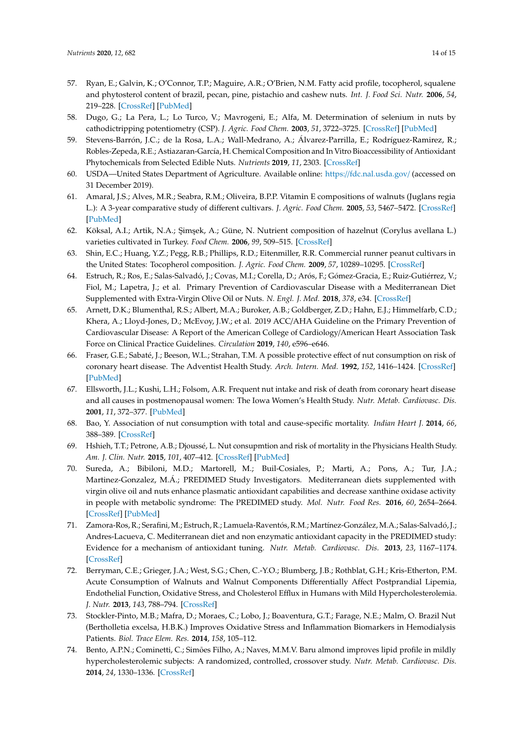- <span id="page-13-7"></span><span id="page-13-6"></span><span id="page-13-5"></span><span id="page-13-4"></span><span id="page-13-3"></span><span id="page-13-0"></span>57. Ryan, E.; Galvin, K.; O'Connor, T.P.; Maguire, A.R.; O'Brien, N.M. Fatty acid profile, tocopherol, squalene and phytosterol content of brazil, pecan, pine, pistachio and cashew nuts. *Int. J. Food Sci. Nutr.* **2006**, *54*, 219–228. [\[CrossRef\]](http://dx.doi.org/10.1080/09637480600768077) [\[PubMed\]](http://www.ncbi.nlm.nih.gov/pubmed/17127473)
- <span id="page-13-1"></span>58. Dugo, G.; La Pera, L.; Lo Turco, V.; Mavrogeni, E.; Alfa, M. Determination of selenium in nuts by cathodictripping potentiometry (CSP). *J. Agric. Food Chem.* **2003**, *51*, 3722–3725. [\[CrossRef\]](http://dx.doi.org/10.1021/jf021256m) [\[PubMed\]](http://www.ncbi.nlm.nih.gov/pubmed/12797733)
- <span id="page-13-2"></span>59. Stevens-Barrón, J.C.; de la Rosa, L.A.; Wall-Medrano, A.; Álvarez-Parrilla, E.; Rodríguez-Ramirez, R.; Robles-Zepeda, R.E.; Astiazaran-García, H. Chemical Composition and In Vitro Bioaccessibility of Antioxidant Phytochemicals from Selected Edible Nuts. *Nutrients* **2019**, *11*, 2303. [\[CrossRef\]](http://dx.doi.org/10.3390/nu11102303)
- 60. USDA—United States Department of Agriculture. Available online: https://[fdc.nal.usda.gov](https://fdc.nal.usda.gov/)/ (accessed on 31 December 2019).
- 61. Amaral, J.S.; Alves, M.R.; Seabra, R.M.; Oliveira, B.P.P. Vitamin E compositions of walnuts (Juglans regia L.): A 3-year comparative study of different cultivars. *J. Agric. Food Chem.* **2005**, *53*, 5467–5472. [\[CrossRef\]](http://dx.doi.org/10.1021/jf050342u) [\[PubMed\]](http://www.ncbi.nlm.nih.gov/pubmed/15969535)
- 62. Köksal, A.I.; Artik, N.A.; Şimşek, A.; Güne, N. Nutrient composition of hazelnut (Corylus avellana L.) varieties cultivated in Turkey. *Food Chem.* **2006**, *99*, 509–515. [\[CrossRef\]](http://dx.doi.org/10.1016/j.foodchem.2005.08.013)
- 63. Shin, E.C.; Huang, Y.Z.; Pegg, R.B.; Phillips, R.D.; Eitenmiller, R.R. Commercial runner peanut cultivars in the United States: Tocopherol composition. *J. Agric. Food Chem.* **2009**, *57*, 10289–10295. [\[CrossRef\]](http://dx.doi.org/10.1021/jf9029546)
- <span id="page-13-8"></span>64. Estruch, R.; Ros, E.; Salas-Salvadó, J.; Covas, M.I.; Corella, D.; Arós, F.; Gómez-Gracia, E.; Ruiz-Gutiérrez, V.; Fiol, M.; Lapetra, J.; et al. Primary Prevention of Cardiovascular Disease with a Mediterranean Diet Supplemented with Extra-Virgin Olive Oil or Nuts. *N. Engl. J. Med.* **2018**, *378*, e34. [\[CrossRef\]](http://dx.doi.org/10.1056/NEJMoa1800389)
- <span id="page-13-9"></span>65. Arnett, D.K.; Blumenthal, R.S.; Albert, M.A.; Buroker, A.B.; Goldberger, Z.D.; Hahn, E.J.; Himmelfarb, C.D.; Khera, A.; Lloyd-Jones, D.; McEvoy, J.W.; et al. 2019 ACC/AHA Guideline on the Primary Prevention of Cardiovascular Disease: A Report of the American College of Cardiology/American Heart Association Task Force on Clinical Practice Guidelines. *Circulation* **2019**, *140*, e596–e646.
- <span id="page-13-10"></span>66. Fraser, G.E.; Sabaté, J.; Beeson, W.L.; Strahan, T.M. A possible protective effect of nut consumption on risk of coronary heart disease. The Adventist Health Study. *Arch. Intern. Med.* **1992**, *152*, 1416–1424. [\[CrossRef\]](http://dx.doi.org/10.1001/archinte.1992.00400190054010) [\[PubMed\]](http://www.ncbi.nlm.nih.gov/pubmed/1627021)
- <span id="page-13-11"></span>67. Ellsworth, J.L.; Kushi, L.H.; Folsom, A.R. Frequent nut intake and risk of death from coronary heart disease and all causes in postmenopausal women: The Iowa Women's Health Study. *Nutr. Metab. Cardiovasc. Dis.* **2001**, *11*, 372–377. [\[PubMed\]](http://www.ncbi.nlm.nih.gov/pubmed/12055701)
- <span id="page-13-19"></span><span id="page-13-12"></span>68. Bao, Y. Association of nut consumption with total and cause-specific mortality. *Indian Heart J.* **2014**, *66*, 388–389. [\[CrossRef\]](http://dx.doi.org/10.1056/NEJMoa1307352)
- <span id="page-13-13"></span>69. Hshieh, T.T.; Petrone, A.B.; Djoussé, L. Nut consupmtion and risk of mortality in the Physicians Health Study. *Am. J. Clin. Nutr.* **2015**, *101*, 407–412. [\[CrossRef\]](http://dx.doi.org/10.3945/ajcn.114.099846) [\[PubMed\]](http://www.ncbi.nlm.nih.gov/pubmed/25646339)
- <span id="page-13-14"></span>70. Sureda, A.; Bibiloni, M.D.; Martorell, M.; Buil-Cosiales, P.; Marti, A.; Pons, A.; Tur, J.A.; Martinez-Gonzalez, M.Á.; PREDIMED Study Investigators. Mediterranean diets supplemented with virgin olive oil and nuts enhance plasmatic antioxidant capabilities and decrease xanthine oxidase activity in people with metabolic syndrome: The PREDIMED study. *Mol. Nutr. Food Res.* **2016**, *60*, 2654–2664. [\[CrossRef\]](http://dx.doi.org/10.1002/mnfr.201600450) [\[PubMed\]](http://www.ncbi.nlm.nih.gov/pubmed/27600061)
- <span id="page-13-15"></span>71. Zamora-Ros, R.; Serafini,M.; Estruch, R.; Lamuela-Raventós, R.M.; Martínez-González,M.A.; Salas-Salvadó, J.; Andres-Lacueva, C. Mediterranean diet and non enzymatic antioxidant capacity in the PREDIMED study: Evidence for a mechanism of antioxidant tuning. *Nutr. Metab. Cardiovasc. Dis.* **2013**, *23*, 1167–1174. [\[CrossRef\]](http://dx.doi.org/10.1016/j.numecd.2012.12.008)
- <span id="page-13-16"></span>72. Berryman, C.E.; Grieger, J.A.; West, S.G.; Chen, C.-Y.O.; Blumberg, J.B.; Rothblat, G.H.; Kris-Etherton, P.M. Acute Consumption of Walnuts and Walnut Components Differentially Affect Postprandial Lipemia, Endothelial Function, Oxidative Stress, and Cholesterol Efflux in Humans with Mild Hypercholesterolemia. *J. Nutr.* **2013**, *143*, 788–794. [\[CrossRef\]](http://dx.doi.org/10.3945/jn.112.170993)
- <span id="page-13-17"></span>73. Stockler-Pinto, M.B.; Mafra, D.; Moraes, C.; Lobo, J.; Boaventura, G.T.; Farage, N.E.; Malm, O. Brazil Nut (Bertholletia excelsa, H.B.K.) Improves Oxidative Stress and Inflammation Biomarkers in Hemodialysis Patients. *Biol. Trace Elem. Res.* **2014**, *158*, 105–112.
- <span id="page-13-18"></span>74. Bento, A.P.N.; Cominetti, C.; Simões Filho, A.; Naves, M.M.V. Baru almond improves lipid profile in mildly hypercholesterolemic subjects: A randomized, controlled, crossover study. *Nutr. Metab. Cardiovasc. Dis.* **2014**, *24*, 1330–1336. [\[CrossRef\]](http://dx.doi.org/10.1016/j.numecd.2014.07.002)